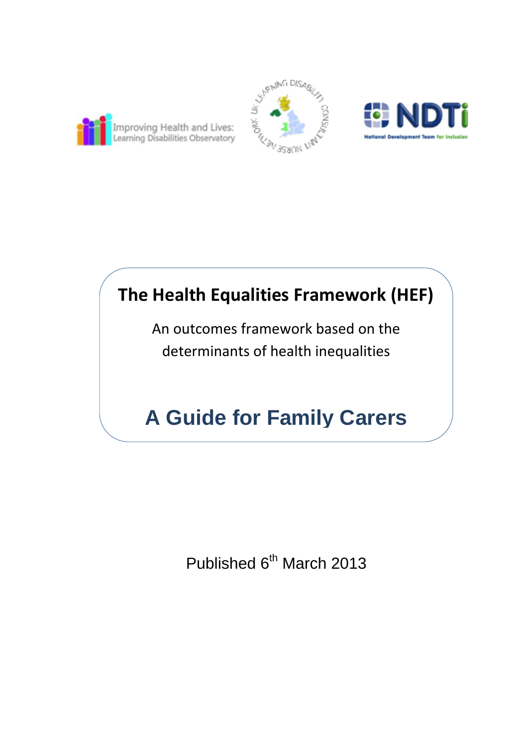





# **The Health Equalities Framework (HEF)**

An outcomes framework based on the determinants of health inequalities

# **A Guide for Family Carers**

Published 6<sup>th</sup> March 2013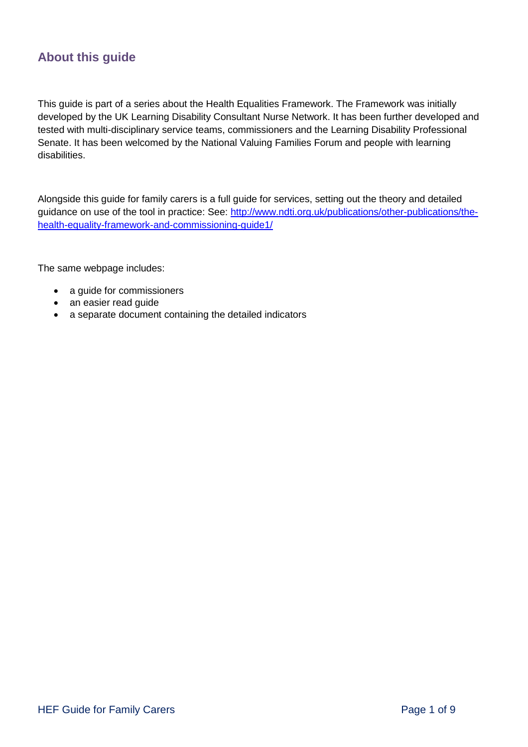### **About this guide**

This guide is part of a series about the Health Equalities Framework. The Framework was initially developed by the UK Learning Disability Consultant Nurse Network. It has been further developed and tested with multi-disciplinary service teams, commissioners and the Learning Disability Professional Senate. It has been welcomed by the National Valuing Families Forum and people with learning disabilities.

Alongside this guide for family carers is a full guide for services, setting out the theory and detailed guidance on use of the tool in practice: See: [http://www.ndti.org.uk/publications/other-publications/the](http://www.ndti.org.uk/publications/other-publications/the-health-equality-framework-and-commissioning-guide1/)[health-equality-framework-and-commissioning-guide1/](http://www.ndti.org.uk/publications/other-publications/the-health-equality-framework-and-commissioning-guide1/)

The same webpage includes:

- a guide for commissioners
- an easier read guide
- a separate document containing the detailed indicators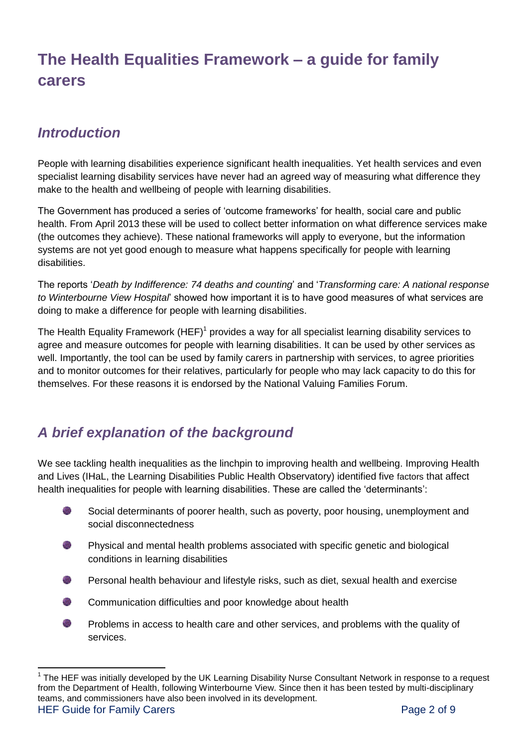## **The Health Equalities Framework – a guide for family carers**

## *Introduction*

 $\overline{a}$ 

People with learning disabilities experience significant health inequalities. Yet health services and even specialist learning disability services have never had an agreed way of measuring what difference they make to the health and wellbeing of people with learning disabilities.

The Government has produced a series of 'outcome frameworks' for health, social care and public health. From April 2013 these will be used to collect better information on what difference services make (the outcomes they achieve). These national frameworks will apply to everyone, but the information systems are not yet good enough to measure what happens specifically for people with learning disabilities.

The reports '*Death by Indifference: 74 deaths and counting*' and '*Transforming care: A national response to Winterbourne View Hospital*' showed how important it is to have good measures of what services are doing to make a difference for people with learning disabilities.

The Health Equality Framework (HEF)<sup>1</sup> provides a way for all specialist learning disability services to agree and measure outcomes for people with learning disabilities. It can be used by other services as well. Importantly, the tool can be used by family carers in partnership with services, to agree priorities and to monitor outcomes for their relatives, particularly for people who may lack capacity to do this for themselves. For these reasons it is endorsed by the National Valuing Families Forum.

## *A brief explanation of the background*

We see tackling health inequalities as the linchpin to improving health and wellbeing. Improving Health and Lives (IHaL, the Learning Disabilities Public Health Observatory) identified five factors that affect health inequalities for people with learning disabilities. These are called the 'determinants':

- Social determinants of poorer health, such as poverty, poor housing, unemployment and social disconnectedness
- Physical and mental health problems associated with specific genetic and biological conditions in learning disabilities
- Personal health behaviour and lifestyle risks, such as diet, sexual health and exercise
- Communication difficulties and poor knowledge about health
- Problems in access to health care and other services, and problems with the quality of an i services.

HEF Guide for Family Carers **Page 2 of 9** and the US and the Page 2 of 9 <sup>1</sup> The HEF was initially developed by the UK Learning Disability Nurse Consultant Network in response to a request from the Department of Health, following Winterbourne View. Since then it has been tested by multi-disciplinary teams, and commissioners have also been involved in its development.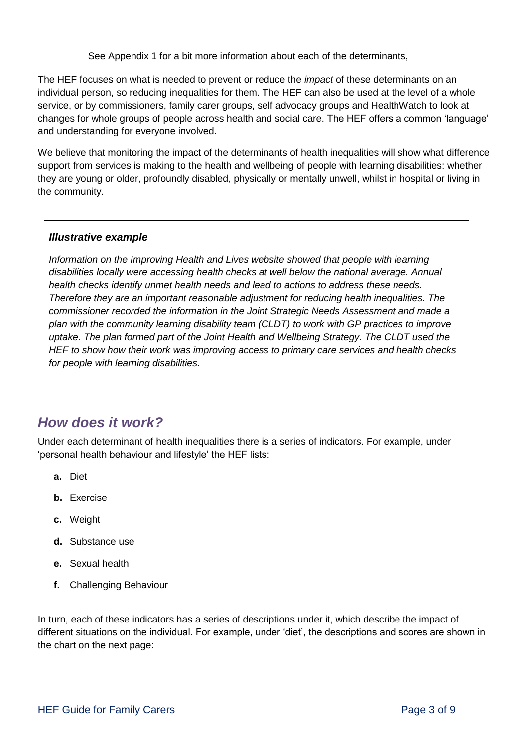See Appendix 1 for a bit more information about each of the determinants,

The HEF focuses on what is needed to prevent or reduce the *impact* of these determinants on an individual person, so reducing inequalities for them. The HEF can also be used at the level of a whole service, or by commissioners, family carer groups, self advocacy groups and HealthWatch to look at changes for whole groups of people across health and social care. The HEF offers a common 'language' and understanding for everyone involved.

We believe that monitoring the impact of the determinants of health inequalities will show what difference support from services is making to the health and wellbeing of people with learning disabilities: whether they are young or older, profoundly disabled, physically or mentally unwell, whilst in hospital or living in the community.

#### *Illustrative example*

*Information on the Improving Health and Lives website showed that people with learning disabilities locally were accessing health checks at well below the national average. Annual health checks identify unmet health needs and lead to actions to address these needs. Therefore they are an important reasonable adjustment for reducing health inequalities. The commissioner recorded the information in the Joint Strategic Needs Assessment and made a plan with the community learning disability team (CLDT) to work with GP practices to improve*  uptake. The plan formed part of the Joint Health and Wellbeing Strategy. The CLDT used the *HEF to show how their work was improving access to primary care services and health checks for people with learning disabilities.* 

## *How does it work?*

Under each determinant of health inequalities there is a series of indicators. For example, under 'personal health behaviour and lifestyle' the HEF lists:

- **a.** Diet
- **b.** Exercise
- **c.** Weight
- **d.** Substance use
- **e.** Sexual health
- **f.** Challenging Behaviour

In turn, each of these indicators has a series of descriptions under it, which describe the impact of different situations on the individual. For example, under 'diet', the descriptions and scores are shown in the chart on the next page: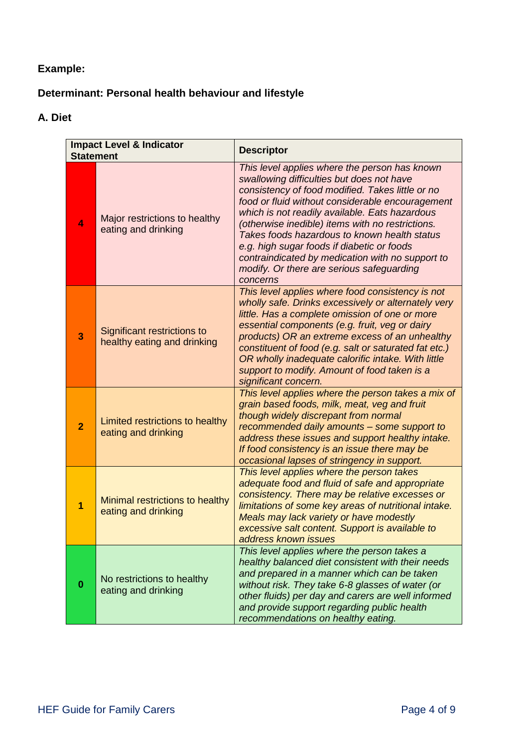## **Example:**

## **Determinant: Personal health behaviour and lifestyle**

#### **A. Diet**

| <b>Impact Level &amp; Indicator</b><br><b>Statement</b> |                                                            | <b>Descriptor</b>                                                                                                                                                                                                                                                                                                                                                                                                                                                                                                   |
|---------------------------------------------------------|------------------------------------------------------------|---------------------------------------------------------------------------------------------------------------------------------------------------------------------------------------------------------------------------------------------------------------------------------------------------------------------------------------------------------------------------------------------------------------------------------------------------------------------------------------------------------------------|
| $\blacktriangleleft$                                    | Major restrictions to healthy<br>eating and drinking       | This level applies where the person has known<br>swallowing difficulties but does not have<br>consistency of food modified. Takes little or no<br>food or fluid without considerable encouragement<br>which is not readily available. Eats hazardous<br>(otherwise inedible) items with no restrictions.<br>Takes foods hazardous to known health status<br>e.g. high sugar foods if diabetic or foods<br>contraindicated by medication with no support to<br>modify. Or there are serious safeguarding<br>concerns |
| 3                                                       | Significant restrictions to<br>healthy eating and drinking | This level applies where food consistency is not<br>wholly safe. Drinks excessively or alternately very<br>little. Has a complete omission of one or more<br>essential components (e.g. fruit, veg or dairy<br>products) OR an extreme excess of an unhealthy<br>constituent of food (e.g. salt or saturated fat etc.)<br>OR wholly inadequate calorific intake. With little<br>support to modify. Amount of food taken is a<br>significant concern.                                                                |
| $\overline{2}$                                          | Limited restrictions to healthy<br>eating and drinking     | This level applies where the person takes a mix of<br>grain based foods, milk, meat, veg and fruit<br>though widely discrepant from normal<br>recommended daily amounts - some support to<br>address these issues and support healthy intake.<br>If food consistency is an issue there may be<br>occasional lapses of stringency in support.                                                                                                                                                                        |
| 1                                                       | Minimal restrictions to healthy<br>eating and drinking     | This level applies where the person takes<br>adequate food and fluid of safe and appropriate<br>consistency. There may be relative excesses or<br>limitations of some key areas of nutritional intake.<br>Meals may lack variety or have modestly<br>excessive salt content. Support is available to<br>address known issues                                                                                                                                                                                        |
| $\bf{0}$                                                | No restrictions to healthy<br>eating and drinking          | This level applies where the person takes a<br>healthy balanced diet consistent with their needs<br>and prepared in a manner which can be taken<br>without risk. They take 6-8 glasses of water (or<br>other fluids) per day and carers are well informed<br>and provide support regarding public health<br>recommendations on healthy eating.                                                                                                                                                                      |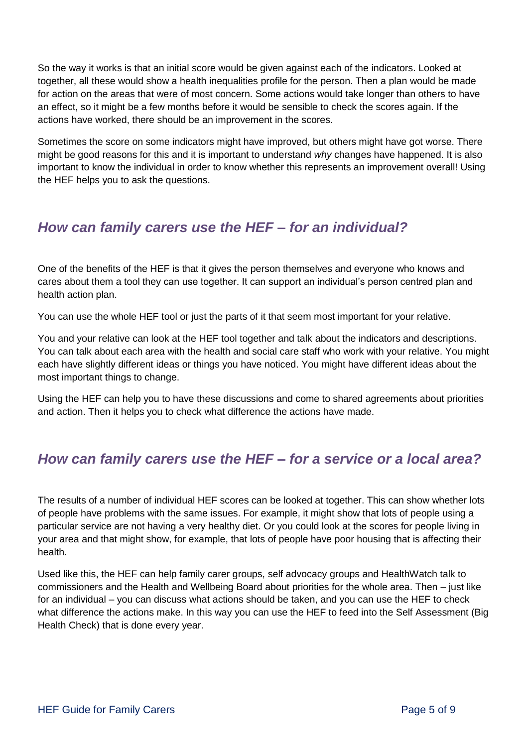So the way it works is that an initial score would be given against each of the indicators. Looked at together, all these would show a health inequalities profile for the person. Then a plan would be made for action on the areas that were of most concern. Some actions would take longer than others to have an effect, so it might be a few months before it would be sensible to check the scores again. If the actions have worked, there should be an improvement in the scores.

Sometimes the score on some indicators might have improved, but others might have got worse. There might be good reasons for this and it is important to understand *why* changes have happened. It is also important to know the individual in order to know whether this represents an improvement overall! Using the HEF helps you to ask the questions.

## *How can family carers use the HEF – for an individual?*

One of the benefits of the HEF is that it gives the person themselves and everyone who knows and cares about them a tool they can use together. It can support an individual's person centred plan and health action plan.

You can use the whole HEF tool or just the parts of it that seem most important for your relative.

You and your relative can look at the HEF tool together and talk about the indicators and descriptions. You can talk about each area with the health and social care staff who work with your relative. You might each have slightly different ideas or things you have noticed. You might have different ideas about the most important things to change.

Using the HEF can help you to have these discussions and come to shared agreements about priorities and action. Then it helps you to check what difference the actions have made.

## *How can family carers use the HEF – for a service or a local area?*

The results of a number of individual HEF scores can be looked at together. This can show whether lots of people have problems with the same issues. For example, it might show that lots of people using a particular service are not having a very healthy diet. Or you could look at the scores for people living in your area and that might show, for example, that lots of people have poor housing that is affecting their health.

Used like this, the HEF can help family carer groups, self advocacy groups and HealthWatch talk to commissioners and the Health and Wellbeing Board about priorities for the whole area. Then – just like for an individual – you can discuss what actions should be taken, and you can use the HEF to check what difference the actions make. In this way you can use the HEF to feed into the Self Assessment (Big Health Check) that is done every year.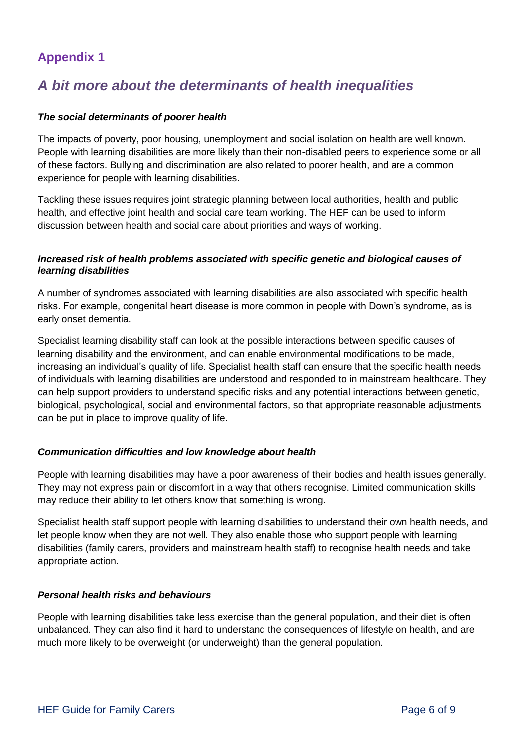## **Appendix 1**

## *A bit more about the determinants of health inequalities*

#### *The social determinants of poorer health*

The impacts of poverty, poor housing, unemployment and social isolation on health are well known. People with learning disabilities are more likely than their non-disabled peers to experience some or all of these factors. Bullying and discrimination are also related to poorer health, and are a common experience for people with learning disabilities.

Tackling these issues requires joint strategic planning between local authorities, health and public health, and effective joint health and social care team working. The HEF can be used to inform discussion between health and social care about priorities and ways of working.

#### *Increased risk of health problems associated with specific genetic and biological causes of learning disabilities*

A number of syndromes associated with learning disabilities are also associated with specific health risks. For example, congenital heart disease is more common in people with Down's syndrome, as is early onset dementia.

Specialist learning disability staff can look at the possible interactions between specific causes of learning disability and the environment, and can enable environmental modifications to be made, increasing an individual's quality of life. Specialist health staff can ensure that the specific health needs of individuals with learning disabilities are understood and responded to in mainstream healthcare. They can help support providers to understand specific risks and any potential interactions between genetic, biological, psychological, social and environmental factors, so that appropriate reasonable adjustments can be put in place to improve quality of life.

#### *Communication difficulties and low knowledge about health*

People with learning disabilities may have a poor awareness of their bodies and health issues generally. They may not express pain or discomfort in a way that others recognise. Limited communication skills may reduce their ability to let others know that something is wrong.

Specialist health staff support people with learning disabilities to understand their own health needs, and let people know when they are not well. They also enable those who support people with learning disabilities (family carers, providers and mainstream health staff) to recognise health needs and take appropriate action.

#### *Personal health risks and behaviours*

People with learning disabilities take less exercise than the general population, and their diet is often unbalanced. They can also find it hard to understand the consequences of lifestyle on health, and are much more likely to be overweight (or underweight) than the general population.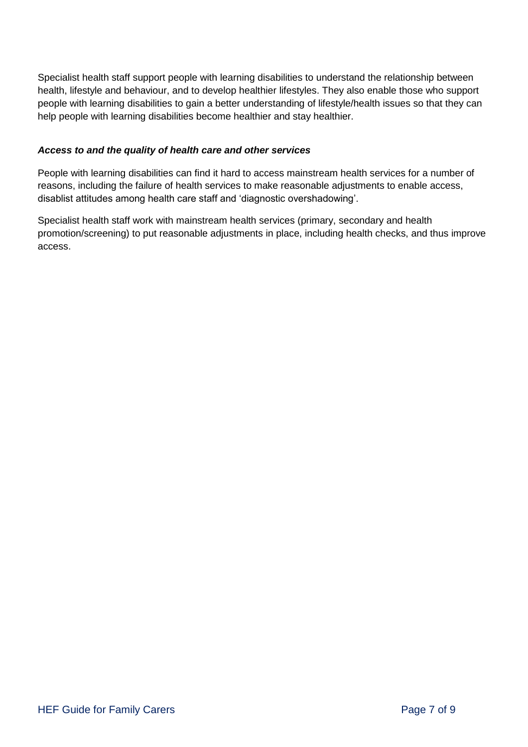Specialist health staff support people with learning disabilities to understand the relationship between health, lifestyle and behaviour, and to develop healthier lifestyles. They also enable those who support people with learning disabilities to gain a better understanding of lifestyle/health issues so that they can help people with learning disabilities become healthier and stay healthier.

#### *Access to and the quality of health care and other services*

People with learning disabilities can find it hard to access mainstream health services for a number of reasons, including the failure of health services to make reasonable adjustments to enable access, disablist attitudes among health care staff and 'diagnostic overshadowing'.

Specialist health staff work with mainstream health services (primary, secondary and health promotion/screening) to put reasonable adjustments in place, including health checks, and thus improve access.